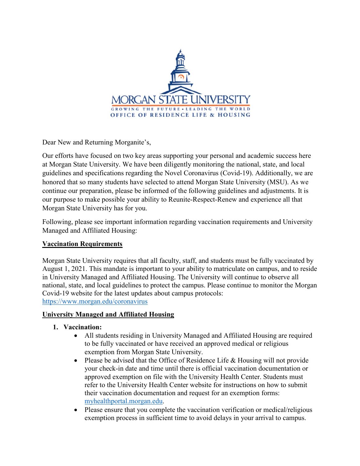

Dear New and Returning Morganite's,

Our efforts have focused on two key areas supporting your personal and academic success here at Morgan State University. We have been diligently monitoring the national, state, and local guidelines and specifications regarding the Novel Coronavirus (Covid-19). Additionally, we are honored that so many students have selected to attend Morgan State University (MSU). As we continue our preparation, please be informed of the following guidelines and adjustments. It is our purpose to make possible your ability to Reunite-Respect-Renew and experience all that Morgan State University has for you.

Following, please see important information regarding vaccination requirements and University Managed and Affiliated Housing:

### **Vaccination Requirements**

Morgan State University requires that all faculty, staff, and students must be fully vaccinated by August 1, 2021. This mandate is important to your ability to matriculate on campus, and to reside in University Managed and Affiliated Housing. The University will continue to observe all national, state, and local guidelines to protect the campus. Please continue to monitor the Morgan Covid-19 website for the latest updates about campus protocols: <https://www.morgan.edu/coronavirus>

#### **University Managed and Affiliated Housing**

- **1. Vaccination:**
	- All students residing in University Managed and Affiliated Housing are required to be fully vaccinated or have received an approved medical or religious exemption from Morgan State University.
	- Please be advised that the Office of Residence Life & Housing will not provide your check-in date and time until there is official vaccination documentation or approved exemption on file with the University Health Center. Students must refer to the University Health Center website for instructions on how to submit their vaccination documentation and request for an exemption forms: [myhealthportal.morgan.edu.](http://myhealthportal.morgan.edu/)
	- Please ensure that you complete the vaccination verification or medical/religious exemption process in sufficient time to avoid delays in your arrival to campus.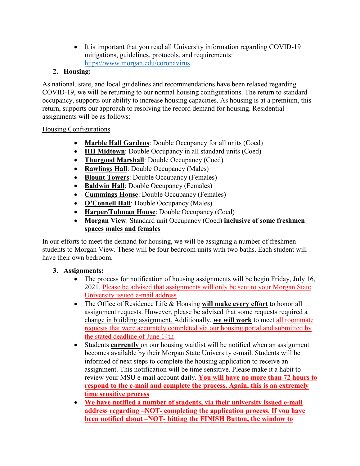• It is important that you read all University information regarding COVID-19 mitigations, guidelines, protocols, and requirements: <https://www.morgan.edu/coronavirus>

# **2. Housing:**

As national, state, and local guidelines and recommendations have been relaxed regarding COVID-19, we will be returning to our normal housing configurations. The return to standard occupancy, supports our ability to increase housing capacities. As housing is at a premium, this return, supports our approach to resolving the record demand for housing. Residential assignments will be as follows:

## Housing Configurations

- **Marble Hall Gardens**: Double Occupancy for all units (Coed)
- **HH Midtown**: Double Occupancy in all standard units (Coed)
- **Thurgood Marshall**: Double Occupancy (Coed)
- **Rawlings Hall**: Double Occupancy (Males)
- **Blount Towers**: Double Occupancy (Females)
- **Baldwin Hall**: Double Occupancy (Females)
- **Cummings House**: Double Occupancy (Females)
- **O'Connell Hall**: Double Occupancy (Males)
- **Harper/Tubman House**: Double Occupancy (Coed)
- **Morgan View**: Standard unit Occupancy (Coed) **inclusive of some freshmen spaces males and females**

In our efforts to meet the demand for housing, we will be assigning a number of freshmen students to Morgan View. These will be four bedroom units with two baths. Each student will have their own bedroom.

## **3. Assignments:**

- The process for notification of housing assignments will be begin Friday, July 16, 2021. Please be advised that assignments will only be sent to your Morgan State University issued e-mail address
- The Office of Residence Life & Housing **will make every effort** to honor all assignment requests. However, please be advised that some requests required a change in building assignment. Additionally, **we will work** to meet all roommate requests that were accurately completed via our housing portal and submitted by the stated deadline of June 14th
- Students **currently** on our housing waitlist will be notified when an assignment becomes available by their Morgan State University e-mail. Students will be informed of next steps to complete the housing application to receive an assignment. This notification will be time sensitive. Please make it a habit to review your MSU e-mail account daily. **You will have no more than 72 hours to respond to the e-mail and complete the process. Again, this is an extremely time sensitive process**
- **We have notified a number of students, via their university issued e-mail address regarding –NOT- completing the application process. If you have been notified about –NOT- hitting the FINISH Button, the window to**